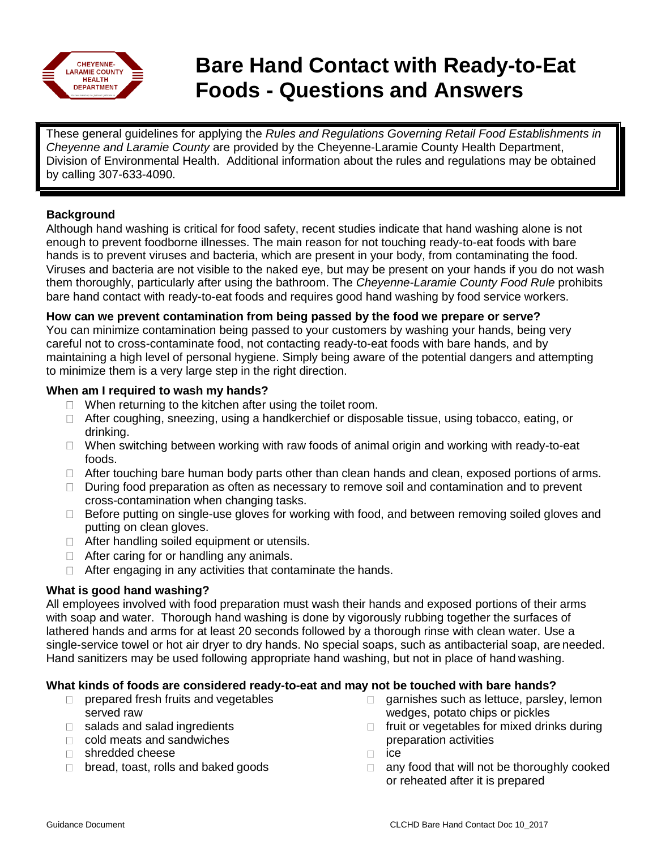

# **Bare Hand Contact with Ready-to-Eat Foods - Questions and Answers**

These general guidelines for applying the *Rules and Regulations Governing Retail Food Establishments in Cheyenne and Laramie County* are provided by the Cheyenne-Laramie County Health Department, Division of Environmental Health. Additional information about the rules and regulations may be obtained by calling 307-633-4090.

# **Background**

Although hand washing is critical for food safety, recent studies indicate that hand washing alone is not enough to prevent foodborne illnesses. The main reason for not touching ready-to-eat foods with bare hands is to prevent viruses and bacteria, which are present in your body, from contaminating the food. Viruses and bacteria are not visible to the naked eye, but may be present on your hands if you do not wash them thoroughly, particularly after using the bathroom. The *Cheyenne-Laramie County Food Rule* prohibits bare hand contact with ready-to-eat foods and requires good hand washing by food service workers.

## **How can we prevent contamination from being passed by the food we prepare or serve?**

You can minimize contamination being passed to your customers by washing your hands, being very careful not to cross-contaminate food, not contacting ready-to-eat foods with bare hands, and by maintaining a high level of personal hygiene. Simply being aware of the potential dangers and attempting to minimize them is a very large step in the right direction.

## **When am I required to wash my hands?**

- $\Box$  When returning to the kitchen after using the toilet room.
- □ After coughing, sneezing, using a handkerchief or disposable tissue, using tobacco, eating, or drinking.
- $\Box$  When switching between working with raw foods of animal origin and working with ready-to-eat foods.
- $\Box$  After touching bare human body parts other than clean hands and clean, exposed portions of arms.
- $\Box$  During food preparation as often as necessary to remove soil and contamination and to prevent cross-contamination when changing tasks.
- $\Box$  Before putting on single-use gloves for working with food, and between removing soiled gloves and putting on clean gloves.
- $\Box$  After handling soiled equipment or utensils.
- $\Box$  After caring for or handling any animals.
- $\Box$  After engaging in any activities that contaminate the hands.

# **What is good hand washing?**

All employees involved with food preparation must wash their hands and exposed portions of their arms with soap and water. Thorough hand washing is done by vigorously rubbing together the surfaces of lathered hands and arms for at least 20 seconds followed by a thorough rinse with clean water. Use a single-service towel or hot air dryer to dry hands. No special soaps, such as antibacterial soap, are needed. Hand sanitizers may be used following appropriate hand washing, but not in place of hand washing.

# **What kinds of foods are considered ready-to-eat and may not be touched with bare hands?**

- $\Box$  prepared fresh fruits and vegetables served raw
- □ salads and salad ingredients
- □ cold meats and sandwiches
- □ shredded cheese
- $\Box$  bread, toast, rolls and baked goods
- garnishes such as lettuce, parsley, lemon  $\Box$ wedges, potato chips or pickles
- fruit or vegetables for mixed drinks during preparation activities
- ice  $\Box$
- $\Box$  any food that will not be thoroughly cooked or reheated after it is prepared